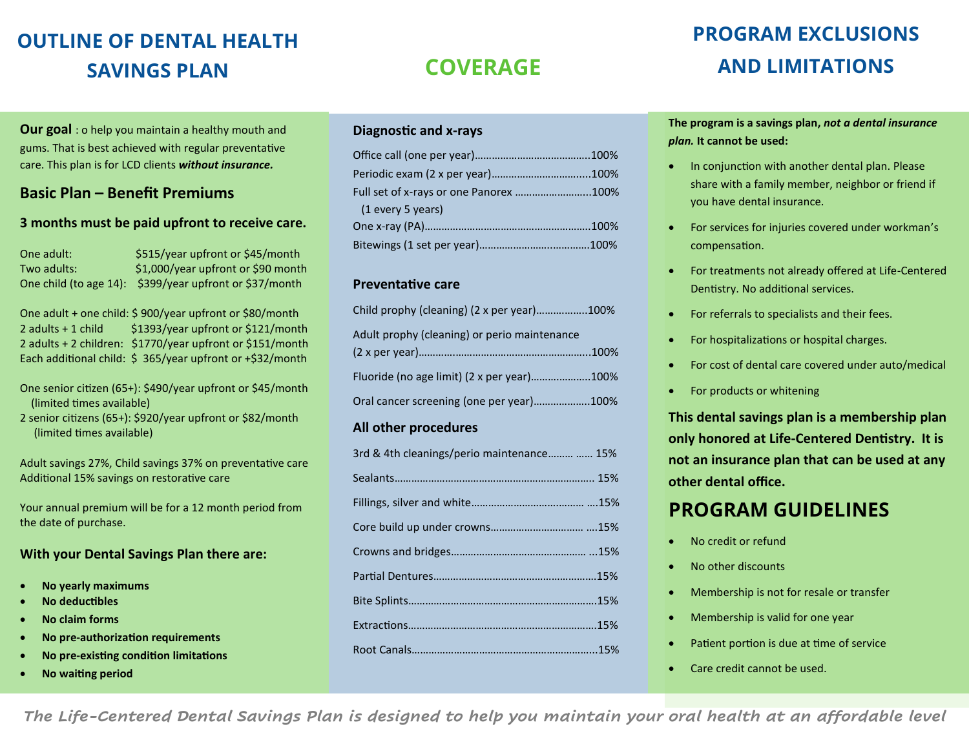## **OUTLINE OF DENTAL HEALTH SAVINGS PLAN COVERAGE**

**Our goal** : o help you maintain a healthy mouth and gums. That is best achieved with regular preventative care. This plan is for LCD clients *without insurance.*

#### **Basic Plan – Benefit Premiums**

#### **3 months must be paid upfront to receive care.**

| One adult:  | \$515/year upfront or \$45/month                        |
|-------------|---------------------------------------------------------|
| Two adults: | \$1,000/year upfront or \$90 month                      |
|             | One child (to age 14): \$399/year upfront or \$37/month |

One adult + one child: \$ 900/year upfront or \$80/month 2 adults + 1 child  $$1393/year$  upfront or \$121/month 2 adults + 2 children: \$1770/year upfront or \$151/month Each additional child: \$ 365/year upfront or +\$32/month

One senior citizen (65+): \$490/year upfront or \$45/month (limited times available)

2 senior citizens (65+): \$920/year upfront or \$82/month (limited times available)

Adult savings 27%, Child savings 37% on preventative care Additional 15% savings on restorative care

Your annual premium will be for a 12 month period from the date of purchase.

#### **With your Dental Savings Plan there are:**

- **No yearly maximums**
- **No deductibles**
- **No claim forms**
- **No pre-authorization requirements**
- **No pre-existing condition limitations**
- **No waiting period**

#### **Diagnostic and x-rays**

| Full set of x-rays or one Panorex 100% |  |
|----------------------------------------|--|
| (1 every 5 years)                      |  |
|                                        |  |
|                                        |  |

#### **Preventative care**

| Child prophy (cleaning) (2 x per year)100%   |  |
|----------------------------------------------|--|
| Adult prophy (cleaning) or perio maintenance |  |
|                                              |  |
| Fluoride (no age limit) (2 x per year)100%   |  |
| Oral cancer screening (one per year)100%     |  |

#### **All other procedures**

| 3rd & 4th cleanings/perio maintenance  15% |
|--------------------------------------------|
|                                            |
|                                            |
|                                            |
|                                            |
|                                            |
|                                            |
|                                            |
|                                            |

## **PROGRAM EXCLUSIONS AND LIMITATIONS**

**The program is a savings plan,** *not a dental insurance plan.* **It cannot be used:**

- In conjunction with another dental plan. Please share with a family member, neighbor or friend if you have dental insurance.
- For services for injuries covered under workman's compensation.
- For treatments not already offered at Life-Centered Dentistry. No additional services.
- For referrals to specialists and their fees.
- For hospitalizations or hospital charges.
- For cost of dental care covered under auto/medical
- For products or whitening

**This dental savings plan is a membership plan only honored at Life-Centered Dentistry. It is not an insurance plan that can be used at any other dental office.**

## **PROGRAM GUIDELINES**

- No credit or refund
- No other discounts
- Membership is not for resale or transfer
- Membership is valid for one year
- Patient portion is due at time of service
- Care credit cannot be used.

*The Life-Centered Dental Savings Plan is designed to help you maintain your oral health at an affordable level*